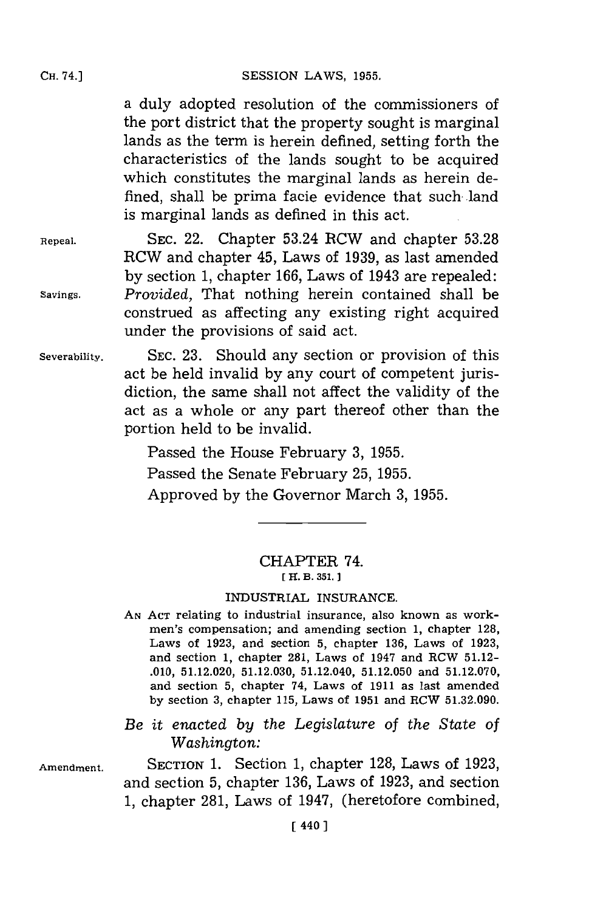a duly adopted resolution of the commissioners of the port district that the property sought is marginal lands as the term is herein defined, setting forth the characteristics of the lands sought to be acquired which constitutes the marginal lands as herein defined, shall be prima facie evidence that such-land is marginal lands as defined in this act.

**Repeal. SEC.** 22. Chapter 53.24 RCW and chapter **53.28** RCW and chapter 45, Laws of **1939,** as last amended **by** section **1,** chapter **166,** Laws of 1943 are repealed: **Savings.** *Provided,* That nothing herein contained shall be construed as affecting any existing right acquired under the provisions of said act.

**Severability. SEC. 23.** Should any section or provision of this act be held invalid **by** any court of competent jurisdiction, the same shall not affect the validity of the act as a whole or any part thereof other than the portion held to be invalid.

> Passed the House February **3, 1955.** Passed the Senate February **25, 1955.** Approved **by** the Governor March **3, 1955.**

## CHAPTER 74. **[ 11. B. 351.]**

## INDUSTRIAL **INSURANCE.**

- **AN ACT** relating to industrial insurance, also known as workmen's compensation; and amending section **1,** chapter **128,** Laws of **1923,** and section **5,** chapter **136,** Laws of **1923,** and section **1,** chapter **281,** Laws of 1947 and RCW **51.12- .010, 51.12.020, 51.12.030,** 51.12.040, **51.12.050** and **51.12.070,** and section **5,** chapter 74. Laws of **1911** as last amended **by** section **3,** chapter **115,** Laws of **1951** and RCW **51.32.090.**
- *Be it enacted by the Legislature of the State of Washington:*

**Amendment. SECTION 1.** Section **1,** chapter **128,** Laws of **1923,** and section **5,** chapter **136,** Laws of **1923,** and section **1,** chapter **281,** Laws of 1947, (heretofore combined,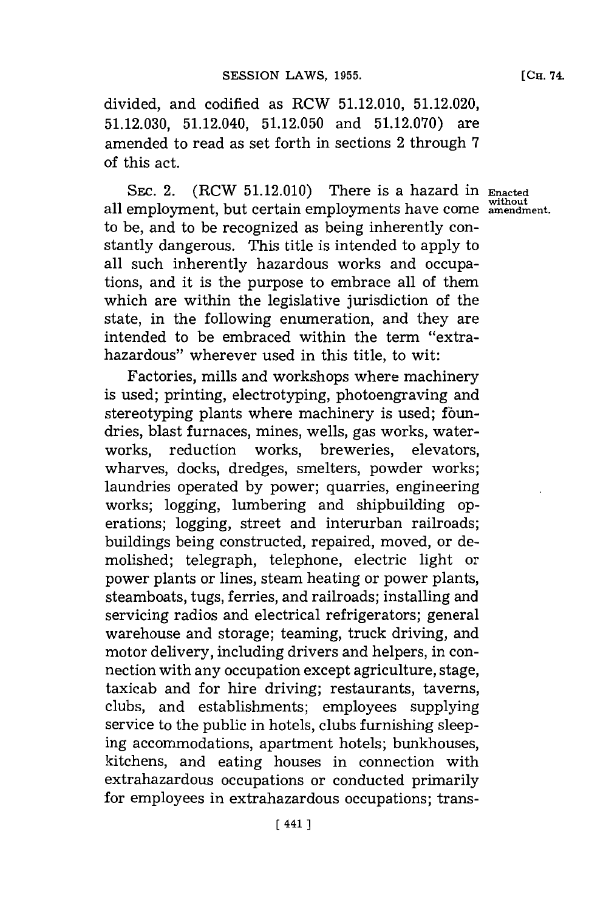divided, and codified as RCW **51.12.010, 51.12.020, 51.12.030,** 51.12.040, **51.12.050** and **51.12.070)** are amended to read as set forth in sections 2 through **7** of this act.

**SEC.** 2. (RCW **51.12.010)** There is a hazard in **Enacted without** all employment, but certain employments have come **amendment.** to be, and to be recognized as being inherently constantly dangerous. This title is intended to apply to all such inherently hazardous works and occupations, and it is the purpose to embrace all of them which are within the legislative jurisdiction of the state, in the following enumeration, and they are intended to be embraced within the term "extrahazardous" wherever used in this title, to wit:

Factories, mills and workshops where machinery is used; printing, electrotyping, photoengraving and stereotyping plants where machinery is used; foundries, blast furnaces, mines, wells, gas works, waterworks, reduction works, breweries, elevators, wharves, docks, dredges, smelters, powder works; laundries operated **by** power; quarries, engineering works; logging, lumbering and shipbuilding operations; logging, street and interurban railroads; buildings being constructed, repaired, moved, or demolished; telegraph, telephone, electric light or power plants or lines, steam heating or power plants, steamboats, tugs, ferries, and railroads; installing and servicing radios and electrical refrigerators; general warehouse and storage; teaming, truck driving, and motor delivery, including drivers and helpers, in connection with any occupation except agriculture, stage, taxicab and for hire driving; restaurants, taverns, clubs, and establishments; employees supplying service to the public in hotels, clubs furnishing sleeping accommodations, apartment hotels; bunkhouses, kitchens, and eating houses in connection with extrahazardous occupations or conducted primarily for employees in extrahazardous occupations; trans-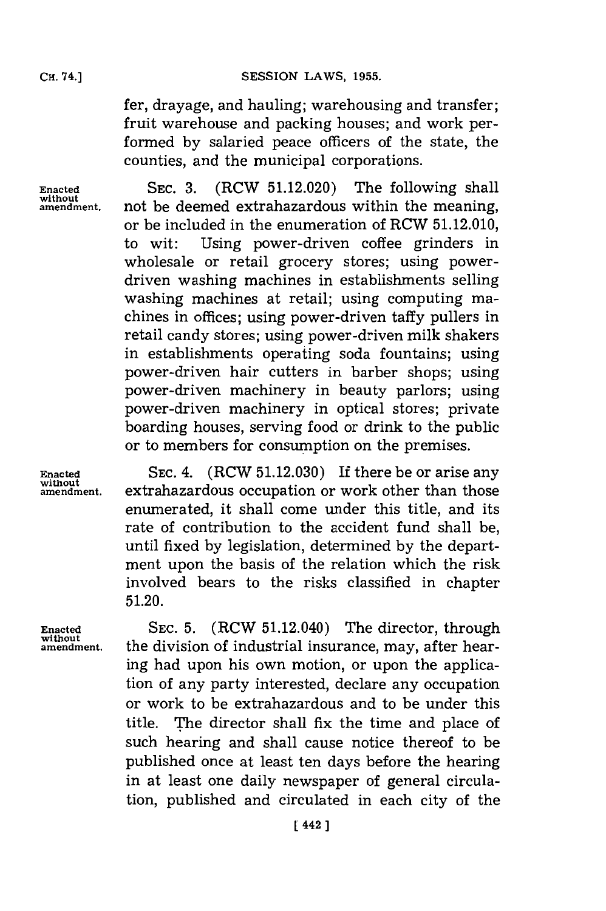fer, drayage, and hauling; warehousing and transfer; fruit warehouse and packing houses; and work performed **by** salaried peace officers of the state, the counties, and the municipal corporations.

without<br>amendment.

**Enacted** SEC. 3. (RCW 51.12.020) The following shall not be deemed extrahazardous within the meaning, or be included in the enumeration of RCW **51.12.010,** to wit: Using power-driven coffee grinders in wholesale or retail grocery stores; using powerdriven washing machines in establishments selling washing machines at retail; using computing machines in offices; using power-driven taffy pullers in retail candy stores; using power-driven milk shakers in establishments operating soda fountains; using power-driven hair cutters in barber shops; using power-driven machinery in beauty parlors; using power-driven machinery in optical stores; private boarding houses, serving food or drink to the public or to members for consumption on the premises.

**Enacted SEC.** 4. (RCW **51.12.030)** If there be or arise any **without** extrahazardous occupation or work other than those enumerated, it shall come under this title, and its rate of contribution to the accident fund shall be, until fixed **by** legislation, determined **by** the department upon the basis of the relation which the risk involved bears to the risks classified in chapter **51.20.**

**Enacted SEC. 5.** (RCW 51.12.040) The director, through **amendment,** the division of industrial insurance, may, after hearing had upon his own motion, or upon the application of any party interested, declare any occupation or work to be extrahazardous and to be under this title. The director shall fix the time and place of such hearing and shall cause notice thereof to be published once at least ten days before the hearing in at least one daily newspaper of general circulation, published and circulated in each city of the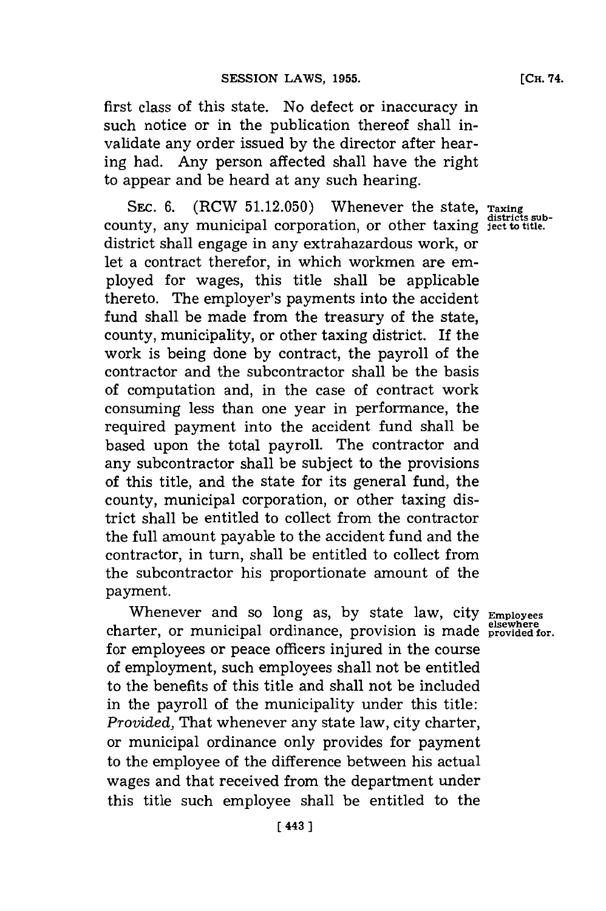first class of this state. No defect or inaccuracy in such notice or in the publication thereof shall invalidate any order issued **by** the director after hearing had. Any person affected shall have the right to appear and be heard at any such hearing.

**SEC. 6.** (RCW 51.12.050) Whenever the state, Taxing county, any municipal corporation, or other taxing **jest to title.** district shall engage in any extrahazardous work, or let a contract therefor, in which workmen are employed for wages, this title shall be applicable thereto. The employer's payments into the accident fund shall be made from the treasury of the state, county, municipality, or other taxing district. If the work is being done **by** contract, the payroll of the contractor and the subcontractor shall be the basis of computation and, in the case of contract work consuming less than one year in performance, the required payment into the accident fund shall be based upon the total payroll. The contractor and any subcontractor shall be subject to the provisions of this title, and the state for its general fund, the county, municipal corporation, or other taxing district shall be entitled to collect from the contractor the full amount payable to the accident fund and the contractor, in turn, shall be entitled to collect from the subcontractor his proportionate amount of the payment.

Whenever and so long as, **by** state law, city **Employees elsewhere** charter, or municipal ordinance, provision is made **provided for.** for employees or peace officers injured in the course of employment, such employees shall not be entitled to the benefits of this title and shall not be included in the payroll of the municipality under this title: *Provided,* That whenever any state law, city charter, or municipal ordinance only provides for payment to the employee of the difference between his actual wages and that received from the department under this title such employee shall be entitled to the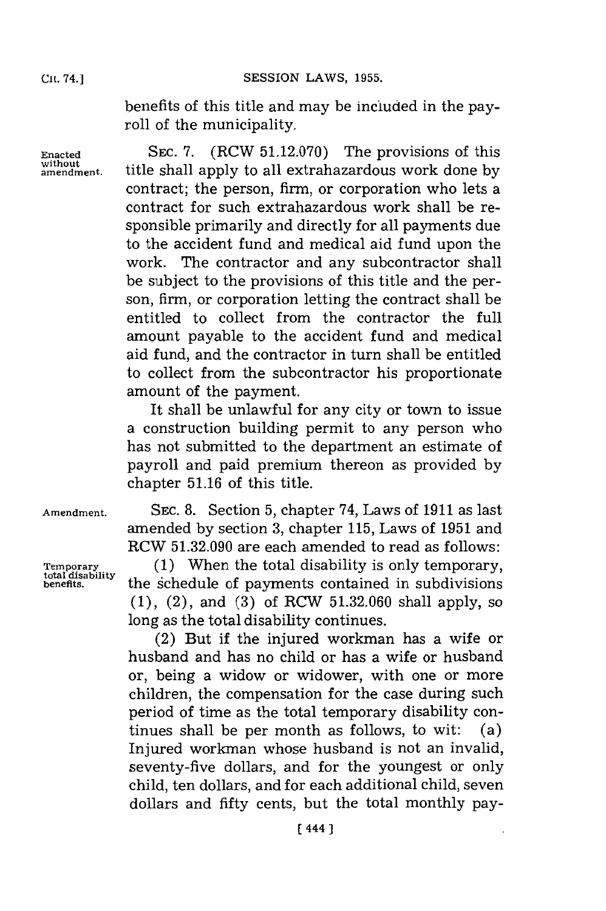benefits of this title and may be included in the payroll of the municipality.

**Enacted** SEC. **7.** (RCW **51.12.070)** The provisions of this without  $\frac{1}{2}$  title shall apply to all extrahazardous work done by contract; the person, firm, or corporation who lets a contract for such extrahazardous work shall be responsible primarily and directly for all payments due to the accident fund and medical aid fund upon the work. The contractor and any subcontractor shall be subject to the provisions of this title and the person, firm, or corporation letting the contract shall be entitled to collect from the contractor the full amount payable to the accident fund and medical aid fund, and the contractor in turn shall be entitled to collect from the subcontractor his proportionate amount of the payment.

> It shall be unlawful for any city or town to issue a construction building permit to any person who has not submitted to the department an estimate of payroll and paid premium thereon as provided **by** chapter **51.16** of this title.

**SEC. 8.** Section **5,** chapter 74, Laws of **1911** as last amended **by** section **3,** chapter **115,** Laws of **1951** and RCW **51.32.090** are each amended to read as follows:

**(1)** When the total disability is only temporary, the schedule of payments contained in subdivisions **(1),** (2), and **(3)** of RCW **51.32.060** shall apply, so long as the total disability continues.

(2) But if the injured workman has a wife or husband and has no child or has a wife or husband or, being a widow or widower, with one or more children, the compensation for the case during such period of time as the total temporary disability continues shall be per month as follows, to wit: (a) Injured workman whose husband is not an invalid, seventy-five dollars, and for the youngest or only child, ten dollars, and for each additional child, seven dollars and fifty cents, but the total monthly pay-

**Amendment.**

**Temporary total disability benefits.**